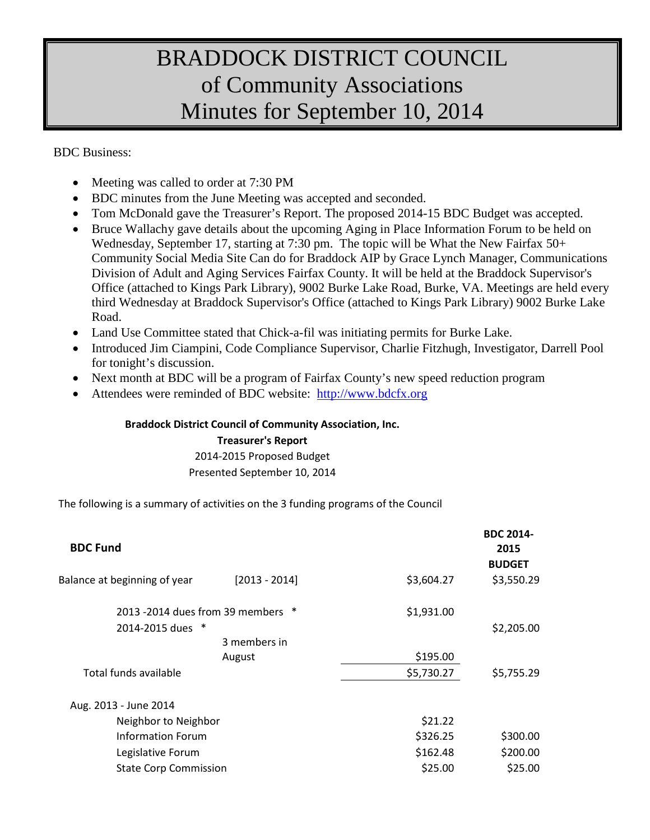# BRADDOCK DISTRICT COUNCIL of Community Associations Minutes for September 10, 2014

BDC Business:

- Meeting was called to order at 7:30 PM
- BDC minutes from the June Meeting was accepted and seconded.
- Tom McDonald gave the Treasurer's Report. The proposed 2014-15 BDC Budget was accepted.
- Bruce Wallachy gave details about the upcoming Aging in Place Information Forum to be held on Wednesday, September 17, starting at 7:30 pm. The topic will be What the New Fairfax 50+ Community Social Media Site Can do for Braddock AIP by Grace Lynch Manager, Communications Division of Adult and Aging Services Fairfax County. It will be held at the Braddock Supervisor's Office (attached to Kings Park Library), 9002 Burke Lake Road, Burke, VA. Meetings are held every third Wednesday at Braddock Supervisor's Office (attached to Kings Park Library) 9002 Burke Lake Road.
- Land Use Committee stated that Chick-a-fil was initiating permits for Burke Lake.
- Introduced Jim Ciampini, Code Compliance Supervisor, Charlie Fitzhugh, Investigator, Darrell Pool for tonight's discussion.
- Next month at BDC will be a program of Fairfax County's new speed reduction program
- Attendees were reminded of BDC website: [http://www.bdcfx.org](http://www.bdcfx.org/)

#### **Braddock District Council of Community Association, Inc.**

#### **Treasurer's Report**

2014-2015 Proposed Budget Presented September 10, 2014

The following is a summary of activities on the 3 funding programs of the Council

| <b>BDC Fund</b>                      |                 |            | <b>BDC 2014-</b><br>2015<br><b>BUDGET</b> |
|--------------------------------------|-----------------|------------|-------------------------------------------|
| Balance at beginning of year         | $[2013 - 2014]$ | \$3,604.27 | \$3,550.29                                |
| 2013 -2014 dues from 39 members<br>∗ |                 | \$1,931.00 |                                           |
| 2014-2015 dues *                     |                 |            | \$2,205.00                                |
|                                      | 3 members in    |            |                                           |
|                                      | August          | \$195.00   |                                           |
| Total funds available                |                 | \$5,730.27 | \$5,755.29                                |
| Aug. 2013 - June 2014                |                 |            |                                           |
| Neighbor to Neighbor                 |                 | \$21.22    |                                           |
| Information Forum                    |                 | \$326.25   | \$300.00                                  |
| Legislative Forum                    |                 | \$162.48   | \$200.00                                  |
| <b>State Corp Commission</b>         |                 | \$25.00    | \$25.00                                   |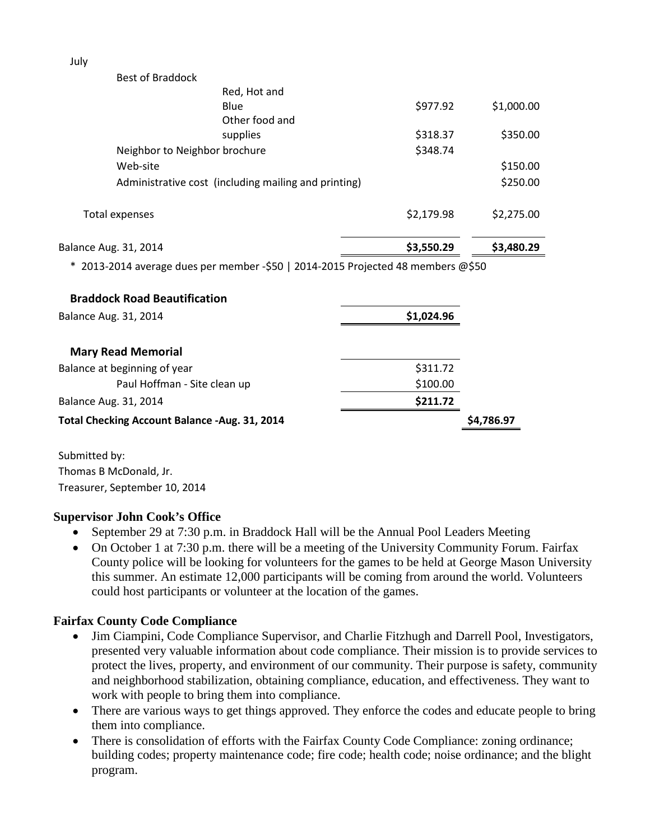Best of Braddock

| Balance Aug. 31, 2014         |                                                      | \$3,550.29 | \$3,480.29 |
|-------------------------------|------------------------------------------------------|------------|------------|
| Total expenses                |                                                      | \$2,179.98 | \$2,275.00 |
|                               | Administrative cost (including mailing and printing) |            | \$250.00   |
| Web-site                      |                                                      |            | \$150.00   |
| Neighbor to Neighbor brochure |                                                      | \$348.74   |            |
|                               | supplies                                             | \$318.37   | \$350.00   |
|                               | Other food and                                       |            |            |
|                               | Red, Hot and<br>Blue                                 | \$977.92   | \$1,000.00 |
|                               |                                                      |            |            |

\* 2013-2014 average dues per member -\$50 | 2014-2015 Projected 48 members @\$50

| <b>Braddock Road Beautification</b>            |            |            |
|------------------------------------------------|------------|------------|
| Balance Aug. 31, 2014                          | \$1,024.96 |            |
| <b>Mary Read Memorial</b>                      |            |            |
| Balance at beginning of year                   | \$311.72   |            |
| Paul Hoffman - Site clean up                   | \$100.00   |            |
| Balance Aug. 31, 2014                          | \$211.72   |            |
| Total Checking Account Balance - Aug. 31, 2014 |            | \$4,786.97 |

Submitted by: Thomas B McDonald, Jr. Treasurer, September 10, 2014

## **Supervisor John Cook's Office**

- September 29 at 7:30 p.m. in Braddock Hall will be the Annual Pool Leaders Meeting
- On October 1 at 7:30 p.m. there will be a meeting of the University Community Forum. Fairfax County police will be looking for volunteers for the games to be held at George Mason University this summer. An estimate 12,000 participants will be coming from around the world. Volunteers could host participants or volunteer at the location of the games.

## **Fairfax County Code Compliance**

- Jim Ciampini, Code Compliance Supervisor, and Charlie Fitzhugh and Darrell Pool, Investigators, presented very valuable information about code compliance. Their mission is to provide services to protect the lives, property, and environment of our community. Their purpose is safety, community and neighborhood stabilization, obtaining compliance, education, and effectiveness. They want to work with people to bring them into compliance.
- There are various ways to get things approved. They enforce the codes and educate people to bring them into compliance.
- There is consolidation of efforts with the Fairfax County Code Compliance: zoning ordinance; building codes; property maintenance code; fire code; health code; noise ordinance; and the blight program.

July